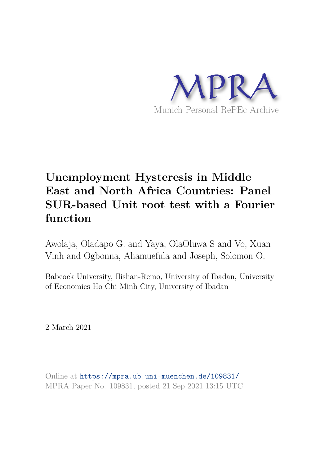

# **Unemployment Hysteresis in Middle East and North Africa Countries: Panel SUR-based Unit root test with a Fourier function**

Awolaja, Oladapo G. and Yaya, OlaOluwa S and Vo, Xuan Vinh and Ogbonna, Ahamuefula and Joseph, Solomon O.

Babcock University, Ilishan-Remo, University of Ibadan, University of Economics Ho Chi Minh City, University of Ibadan

2 March 2021

Online at https://mpra.ub.uni-muenchen.de/109831/ MPRA Paper No. 109831, posted 21 Sep 2021 13:15 UTC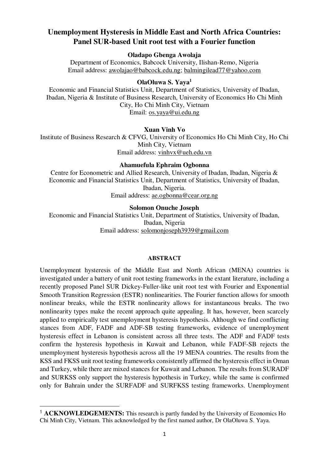# **Unemployment Hysteresis in Middle East and North Africa Countries: Panel SUR-based Unit root test with a Fourier function**

# **Oladapo Gbenga Awolaja**

Department of Economics, Babcock University, Ilishan-Remo, Nigeria Email address: [awolajao@babcock.edu.ng; balmingilead77@yahoo.com](about:blank) 

# **OlaOluwa S. Yaya<sup>1</sup>**

Economic and Financial Statistics Unit, Department of Statistics, University of Ibadan, Ibadan, Nigeria & Institute of Business Research, University of Economics Ho Chi Minh City, Ho Chi Minh City, Vietnam Email: [os.yaya@ui.edu.ng](mailto:os.yaya@ui.edu.ng) 

# **Xuan Vinh Vo**

Institute of Business Research & CFVG, University of Economics Ho Chi Minh City, Ho Chi Minh City, Vietnam Email address: [vinhvx@ueh.edu.vn](mailto:vinhvx@ueh.edu.vn) 

# **Ahamuefula Ephraim Ogbonna**

Centre for Econometric and Allied Research, University of Ibadan, Ibadan, Nigeria & Economic and Financial Statistics Unit, Department of Statistics, University of Ibadan, Ibadan, Nigeria. Email address: [ae.ogbonna@cear.org.ng](about:blank) 

#### **Solomon Onuche Joseph**

Economic and Financial Statistics Unit, Department of Statistics, University of Ibadan, Ibadan, Nigeria Email address: [solomonjoseph3939@gmail.com](about:blank) 

#### **ABSTRACT**

Unemployment hysteresis of the Middle East and North African (MENA) countries is investigated under a battery of unit root testing frameworks in the extant literature, including a recently proposed Panel SUR Dickey-Fuller-like unit root test with Fourier and Exponential Smooth Transition Regression (ESTR) nonlinearities. The Fourier function allows for smooth nonlinear breaks, while the ESTR nonlinearity allows for instantaneous breaks. The two nonlinearity types make the recent approach quite appealing. It has, however, been scarcely applied to empirically test unemployment hysteresis hypothesis. Although we find conflicting stances from ADF, FADF and ADF-SB testing frameworks, evidence of unemployment hysteresis effect in Lebanon is consistent across all three tests. The ADF and FADF tests confirm the hysteresis hypothesis in Kuwait and Lebanon, while FADF-SB rejects the unemployment hysteresis hypothesis across all the 19 MENA countries. The results from the KSS and FKSS unit root testing frameworks consistently affirmed the hysteresis effect in Oman and Turkey, while there are mixed stances for Kuwait and Lebanon. The results from SURADF and SURKSS only support the hysteresis hypothesis in Turkey, while the same is confirmed only for Bahrain under the SURFADF and SURFKSS testing frameworks. Unemployment

-

<sup>&</sup>lt;sup>1</sup> ACKNOWLEDGEMENTS: This research is partly funded by the University of Economics Ho Chi Minh City, Vietnam. This acknowledged by the first named author, Dr OlaOluwa S. Yaya.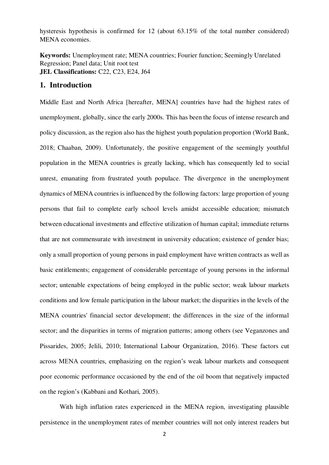hysteresis hypothesis is confirmed for 12 (about 63.15% of the total number considered) MENA economies.

**Keywords:** Unemployment rate; MENA countries; Fourier function; Seemingly Unrelated Regression; Panel data; Unit root test **JEL Classifications:** C22, C23, E24, J64

### **1. Introduction**

Middle East and North Africa [hereafter, MENA] countries have had the highest rates of unemployment, globally, since the early 2000s. This has been the focus of intense research and policy discussion, as the region also has the highest youth population proportion (World Bank, 2018; Chaaban, 2009). Unfortunately, the positive engagement of the seemingly youthful population in the MENA countries is greatly lacking, which has consequently led to social unrest, emanating from frustrated youth populace. The divergence in the unemployment dynamics of MENA countries is influenced by the following factors: large proportion of young persons that fail to complete early school levels amidst accessible education; mismatch between educational investments and effective utilization of human capital; immediate returns that are not commensurate with investment in university education; existence of gender bias; only a small proportion of young persons in paid employment have written contracts as well as basic entitlements; engagement of considerable percentage of young persons in the informal sector; untenable expectations of being employed in the public sector; weak labour markets conditions and low female participation in the labour market; the disparities in the levels of the MENA countries' financial sector development; the differences in the size of the informal sector; and the disparities in terms of migration patterns; among others (see Veganzones and Pissarides, 2005; Jelili, 2010; International Labour Organization, 2016). These factors cut across MENA countries, emphasizing on the region's weak labour markets and consequent poor economic performance occasioned by the end of the oil boom that negatively impacted on the region's (Kabbani and Kothari, 2005).

 With high inflation rates experienced in the MENA region, investigating plausible persistence in the unemployment rates of member countries will not only interest readers but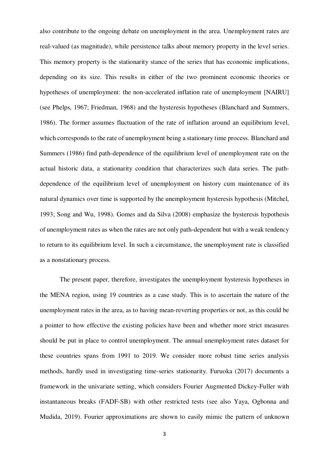also contribute to the ongoing debate on unemployment in the area. Unemployment rates are real-valued (as magnitude), while persistence talks about memory property in the level series. This memory property is the stationarity stance of the series that has economic implications, depending on its size. This results in either of the two prominent economic theories or hypotheses of unemployment: the non-accelerated inflation rate of unemployment [NAIRU] (see Phelps, 1967; Friedman, 1968) and the hysteresis hypotheses (Blanchard and Summers, 1986). The former assumes fluctuation of the rate of inflation around an equilibrium level, which corresponds to the rate of unemployment being a stationary time process. Blanchard and Summers (1986) find path-dependence of the equilibrium level of unemployment rate on the actual historic data, a stationarity condition that characterizes such data series. The pathdependence of the equilibrium level of unemployment on history cum maintenance of its natural dynamics over time is supported by the unemployment hysteresis hypothesis (Mitchel, 1993; Song and Wu, 1998). Gomes and da Silva (2008) emphasize the hysteresis hypothesis of unemployment rates as when the rates are not only path-dependent but with a weak tendency to return to its equilibrium level. In such a circumstance, the unemployment rate is classified as a nonstationary process.

 The present paper, therefore, investigates the unemployment hysteresis hypotheses in the MENA region, using 19 countries as a case study. This is to ascertain the nature of the unemployment rates in the area, as to having mean-reverting properties or not, as this could be a pointer to how effective the existing policies have been and whether more strict measures should be put in place to control unemployment. The annual unemployment rates dataset for these countries spans from 1991 to 2019. We consider more robust time series analysis methods, hardly used in investigating time-series stationarity. Furuoka (2017) documents a framework in the univariate setting, which considers Fourier Augmented Dickey-Fuller with instantaneous breaks (FADF-SB) with other restricted tests (see also Yaya, Ogbonna and Mudida, 2019). Fourier approximations are shown to easily mimic the pattern of unknown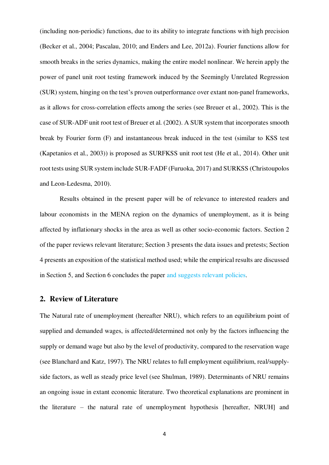(including non-periodic) functions, due to its ability to integrate functions with high precision (Becker et al., 2004; Pascalau, 2010; and Enders and Lee, 2012a). Fourier functions allow for smooth breaks in the series dynamics, making the entire model nonlinear. We herein apply the power of panel unit root testing framework induced by the Seemingly Unrelated Regression (SUR) system, hinging on the test's proven outperformance over extant non-panel frameworks, as it allows for cross-correlation effects among the series (see Breuer et al., 2002). This is the case of SUR-ADF unit root test of Breuer et al. (2002). A SUR system that incorporates smooth break by Fourier form (F) and instantaneous break induced in the test (similar to KSS test (Kapetanios et al., 2003)) is proposed as SURFKSS unit root test (He et al., 2014). Other unit root tests using SUR system include SUR-FADF (Furuoka, 2017) and SURKSS (Christoupolos and Leon-Ledesma, 2010).

Results obtained in the present paper will be of relevance to interested readers and labour economists in the MENA region on the dynamics of unemployment, as it is being affected by inflationary shocks in the area as well as other socio-economic factors. Section 2 of the paper reviews relevant literature; Section 3 presents the data issues and pretests; Section 4 presents an exposition of the statistical method used; while the empirical results are discussed in Section 5, and Section 6 concludes the paper and suggests relevant policies.

# **2. Review of Literature**

The Natural rate of unemployment (hereafter NRU), which refers to an equilibrium point of supplied and demanded wages, is affected/determined not only by the factors influencing the supply or demand wage but also by the level of productivity, compared to the reservation wage (see Blanchard and Katz, 1997). The NRU relates to full employment equilibrium, real/supplyside factors, as well as steady price level (see Shulman, 1989). Determinants of NRU remains an ongoing issue in extant economic literature. Two theoretical explanations are prominent in the literature – the natural rate of unemployment hypothesis [hereafter, NRUH] and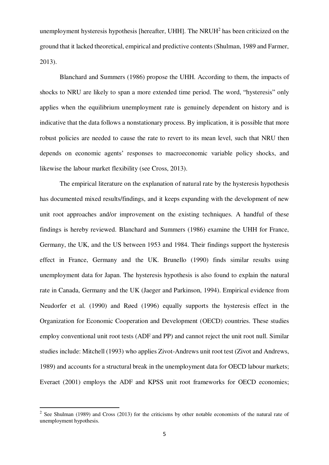unemployment hysteresis hypothesis [hereafter, UHH]. The NRUH $<sup>2</sup>$  has been criticized on the</sup> ground that it lacked theoretical, empirical and predictive contents (Shulman, 1989 and Farmer, 2013).

Blanchard and Summers (1986) propose the UHH. According to them, the impacts of shocks to NRU are likely to span a more extended time period. The word, "hysteresis" only applies when the equilibrium unemployment rate is genuinely dependent on history and is indicative that the data follows a nonstationary process. By implication, it is possible that more robust policies are needed to cause the rate to revert to its mean level, such that NRU then depends on economic agents' responses to macroeconomic variable policy shocks, and likewise the labour market flexibility (see Cross, 2013).

The empirical literature on the explanation of natural rate by the hysteresis hypothesis has documented mixed results/findings, and it keeps expanding with the development of new unit root approaches and/or improvement on the existing techniques. A handful of these findings is hereby reviewed. Blanchard and Summers (1986) examine the UHH for France, Germany, the UK, and the US between 1953 and 1984. Their findings support the hysteresis effect in France, Germany and the UK. Brunello (1990) finds similar results using unemployment data for Japan. The hysteresis hypothesis is also found to explain the natural rate in Canada, Germany and the UK (Jaeger and Parkinson, 1994). Empirical evidence from Neudorfer et al. (1990) and Røed (1996) equally supports the hysteresis effect in the Organization for Economic Cooperation and Development (OECD) countries. These studies employ conventional unit root tests (ADF and PP) and cannot reject the unit root null. Similar studies include: Mitchell (1993) who applies Zivot-Andrews unit root test (Zivot and Andrews, 1989) and accounts for a structural break in the unemployment data for OECD labour markets; Everaet (2001) employs the ADF and KPSS unit root frameworks for OECD economies;

<u>.</u>

<sup>&</sup>lt;sup>2</sup> See Shulman (1989) and Cross (2013) for the criticisms by other notable economists of the natural rate of unemployment hypothesis.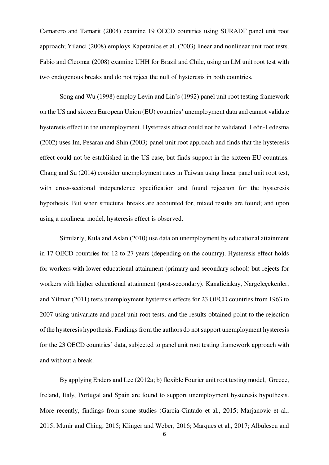Camarero and Tamarit (2004) examine 19 OECD countries using SURADF panel unit root approach; Yilanci (2008) employs Kapetanios et al. (2003) linear and nonlinear unit root tests. Fabio and Cleomar (2008) examine UHH for Brazil and Chile, using an LM unit root test with two endogenous breaks and do not reject the null of hysteresis in both countries.

Song and Wu (1998) employ Levin and Lin's (1992) panel unit root testing framework on the US and sixteen European Union (EU) countries' unemployment data and cannot validate hysteresis effect in the unemployment. Hysteresis effect could not be validated. León-Ledesma (2002) uses Im, Pesaran and Shin (2003) panel unit root approach and finds that the hysteresis effect could not be established in the US case, but finds support in the sixteen EU countries. Chang and Su (2014) consider unemployment rates in Taiwan using linear panel unit root test, with cross-sectional independence specification and found rejection for the hysteresis hypothesis. But when structural breaks are accounted for, mixed results are found; and upon using a nonlinear model, hysteresis effect is observed.

Similarly, Kula and Aslan (2010) use data on unemployment by educational attainment in 17 OECD countries for 12 to 27 years (depending on the country). Hysteresis effect holds for workers with lower educational attainment (primary and secondary school) but rejects for workers with higher educational attainment (post-secondary). Kanaliciakay, Nargeleçekenler, and Yilmaz (2011) tests unemployment hysteresis effects for 23 OECD countries from 1963 to 2007 using univariate and panel unit root tests, and the results obtained point to the rejection of the hysteresis hypothesis. Findings from the authors do not support unemployment hysteresis for the 23 OECD countries' data, subjected to panel unit root testing framework approach with and without a break.

By applying Enders and Lee (2012a; b) flexible Fourier unit root testing model, Greece, Ireland, Italy, Portugal and Spain are found to support unemployment hysteresis hypothesis. More recently, findings from some studies (Garcia-Cintado et al., 2015; Marjanovic et al., 2015; Munir and Ching, 2015; Klinger and Weber, 2016; Marques et al., 2017; Albulescu and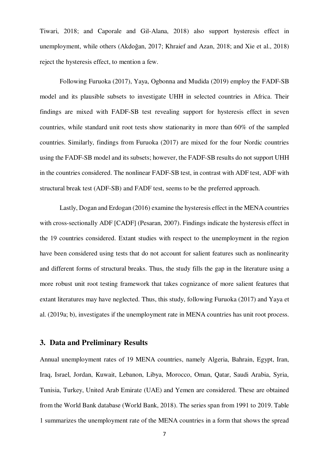Tiwari, 2018; and Caporale and Gil-Alana, 2018) also support hysteresis effect in unemployment, while others (Akdoğan, 2017; Khraief and Azan, 2018; and Xie et al., 2018) reject the hysteresis effect, to mention a few.

Following Furuoka (2017), Yaya, Ogbonna and Mudida (2019) employ the FADF-SB model and its plausible subsets to investigate UHH in selected countries in Africa. Their findings are mixed with FADF-SB test revealing support for hysteresis effect in seven countries, while standard unit root tests show stationarity in more than 60% of the sampled countries. Similarly, findings from Furuoka (2017) are mixed for the four Nordic countries using the FADF-SB model and its subsets; however, the FADF-SB results do not support UHH in the countries considered. The nonlinear FADF-SB test, in contrast with ADF test, ADF with structural break test (ADF-SB) and FADF test, seems to be the preferred approach.

Lastly, Dogan and Erdogan (2016) examine the hysteresis effect in the MENA countries with cross-sectionally ADF [CADF] (Pesaran, 2007). Findings indicate the hysteresis effect in the 19 countries considered. Extant studies with respect to the unemployment in the region have been considered using tests that do not account for salient features such as nonlinearity and different forms of structural breaks. Thus, the study fills the gap in the literature using a more robust unit root testing framework that takes cognizance of more salient features that extant literatures may have neglected. Thus, this study, following Furuoka (2017) and Yaya et al. (2019a; b), investigates if the unemployment rate in MENA countries has unit root process.

# **3. Data and Preliminary Results**

Annual unemployment rates of 19 MENA countries, namely Algeria, Bahrain, Egypt, Iran, Iraq, Israel, Jordan, Kuwait, Lebanon, Libya, Morocco, Oman, Qatar, Saudi Arabia, Syria, Tunisia, Turkey, United Arab Emirate (UAE) and Yemen are considered. These are obtained from the World Bank database (World Bank, 2018). The series span from 1991 to 2019. Table 1 summarizes the unemployment rate of the MENA countries in a form that shows the spread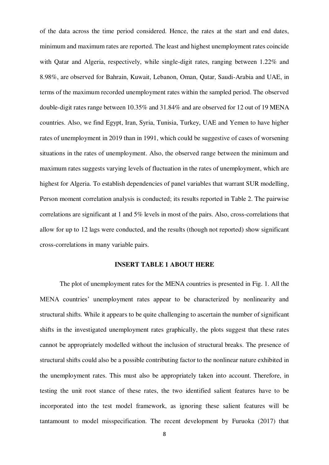of the data across the time period considered. Hence, the rates at the start and end dates, minimum and maximum rates are reported. The least and highest unemployment rates coincide with Qatar and Algeria, respectively, while single-digit rates, ranging between 1.22% and 8.98%, are observed for Bahrain, Kuwait, Lebanon, Oman, Qatar, Saudi-Arabia and UAE, in terms of the maximum recorded unemployment rates within the sampled period. The observed double-digit rates range between 10.35% and 31.84% and are observed for 12 out of 19 MENA countries. Also, we find Egypt, Iran, Syria, Tunisia, Turkey, UAE and Yemen to have higher rates of unemployment in 2019 than in 1991, which could be suggestive of cases of worsening situations in the rates of unemployment. Also, the observed range between the minimum and maximum rates suggests varying levels of fluctuation in the rates of unemployment, which are highest for Algeria. To establish dependencies of panel variables that warrant SUR modelling, Person moment correlation analysis is conducted; its results reported in Table 2. The pairwise correlations are significant at 1 and 5% levels in most of the pairs. Also, cross-correlations that allow for up to 12 lags were conducted, and the results (though not reported) show significant cross-correlations in many variable pairs.

#### **INSERT TABLE 1 ABOUT HERE**

The plot of unemployment rates for the MENA countries is presented in Fig. 1. All the MENA countries' unemployment rates appear to be characterized by nonlinearity and structural shifts. While it appears to be quite challenging to ascertain the number of significant shifts in the investigated unemployment rates graphically, the plots suggest that these rates cannot be appropriately modelled without the inclusion of structural breaks. The presence of structural shifts could also be a possible contributing factor to the nonlinear nature exhibited in the unemployment rates. This must also be appropriately taken into account. Therefore, in testing the unit root stance of these rates, the two identified salient features have to be incorporated into the test model framework, as ignoring these salient features will be tantamount to model misspecification. The recent development by Furuoka (2017) that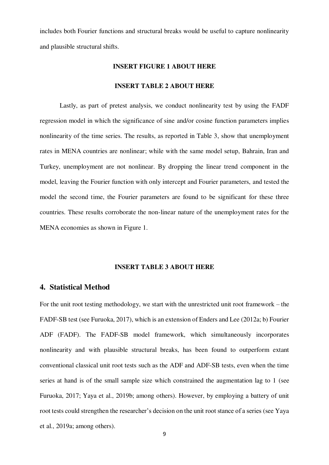includes both Fourier functions and structural breaks would be useful to capture nonlinearity and plausible structural shifts.

#### **INSERT FIGURE 1 ABOUT HERE**

#### **INSERT TABLE 2 ABOUT HERE**

Lastly, as part of pretest analysis, we conduct nonlinearity test by using the FADF regression model in which the significance of sine and/or cosine function parameters implies nonlinearity of the time series. The results, as reported in Table 3, show that unemployment rates in MENA countries are nonlinear; while with the same model setup, Bahrain, Iran and Turkey, unemployment are not nonlinear. By dropping the linear trend component in the model, leaving the Fourier function with only intercept and Fourier parameters, and tested the model the second time, the Fourier parameters are found to be significant for these three countries. These results corroborate the non-linear nature of the unemployment rates for the MENA economies as shown in Figure 1.

#### **INSERT TABLE 3 ABOUT HERE**

## **4. Statistical Method**

For the unit root testing methodology, we start with the unrestricted unit root framework – the FADF-SB test (see Furuoka, 2017), which is an extension of Enders and Lee (2012a; b) Fourier ADF (FADF). The FADF-SB model framework, which simultaneously incorporates nonlinearity and with plausible structural breaks, has been found to outperform extant conventional classical unit root tests such as the ADF and ADF-SB tests, even when the time series at hand is of the small sample size which constrained the augmentation lag to 1 (see Furuoka, 2017; Yaya et al., 2019b; among others). However, by employing a battery of unit root tests could strengthen the researcher's decision on the unit root stance of a series (see Yaya et al., 2019a; among others).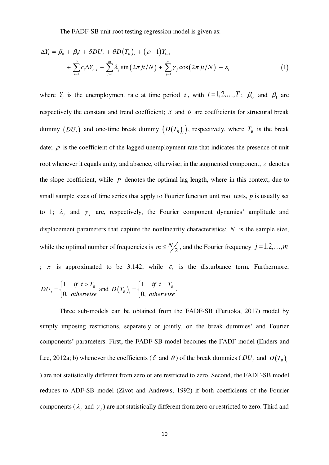The FADF-SB unit root testing regression model is given as:

$$
\Delta Y_t = \beta_0 + \beta_1 t + \delta D U_t + \theta D (T_B)_t + (\rho - 1) Y_{t-1}
$$
  
+ 
$$
\sum_{i=1}^p c_i \Delta Y_{t-i} + \sum_{j=1}^m \lambda_j \sin(2\pi j t/N) + \sum_{j=1}^m \gamma_j \cos(2\pi j t/N) + \varepsilon_t
$$
 (1)

where  $Y_t$  is the unemployment rate at time period t, with  $t = 1, 2, ..., T$ ;  $\beta_0$  and  $\beta_1$  are respectively the constant and trend coefficient;  $\delta$  and  $\theta$  are coefficients for structural break dummy  $(DU_t)$  and one-time break dummy  $(D(T_B)_t)$ , respectively, where  $T_B$  is the break date;  $\rho$  is the coefficient of the lagged unemployment rate that indicates the presence of unit root whenever it equals unity, and absence, otherwise; in the augmented component,  $c$  denotes the slope coefficient, while  $p$  denotes the optimal lag length, where in this context, due to small sample sizes of time series that apply to Fourier function unit root tests, *p* is usually set to 1;  $\lambda_j$  and  $\gamma_j$  are, respectively, the Fourier component dynamics' amplitude and displacement parameters that capture the nonlinearity characteristics;  $N$  is the sample size, while the optimal number of frequencies is  $m \leq \frac{N}{2}$ , and the Fourier frequency  $j = 1, 2, ..., m$ ;  $\pi$  is approximated to be 3.142; while  $\varepsilon$  is the disturbance term. Furthermore, and  $D(T_B) = \begin{cases} 1 & B \\ 0 & D \end{cases}$ . 1 0, *B t if*  $t > T$ *DU otherwise*  $\begin{cases} 1 & \text{if } t > \end{cases}$  $=\{$  $\overline{\mathcal{L}}$  $(T_B)$ <sub>1</sub> =  $\begin{cases} 1 \ 0 \end{cases}$ 0, *B B t if*  $t = T$ *D T otherwise*  $\begin{cases} 1 & \text{if } t = \end{cases}$  $=\{$  $\overline{\mathcal{L}}$ 

Three sub-models can be obtained from the FADF-SB (Furuoka, 2017) model by simply imposing restrictions, separately or jointly, on the break dummies' and Fourier components' parameters. First, the FADF-SB model becomes the FADF model (Enders and Lee, 2012a; b) whenever the coefficients ( $\delta$  and  $\theta$ ) of the break dummies ( $DU_t$  and  $D(T_B)$ , ) are not statistically different from zero or are restricted to zero. Second, the FADF-SB model reduces to ADF-SB model (Zivot and Andrews, 1992) if both coefficients of the Fourier components ( $\lambda_j$  and  $\gamma_j$ ) are not statistically different from zero or restricted to zero. Third and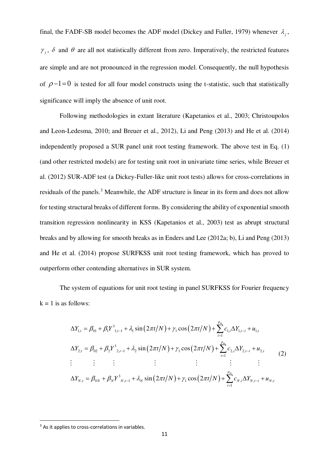final, the FADF-SB model becomes the ADF model (Dickey and Fuller, 1979) whenever  $\lambda_j$ ,  $\gamma_j$ ,  $\delta$  and  $\theta$  are all not statistically different from zero. Imperatively, the restricted features are simple and are not pronounced in the regression model. Consequently, the null hypothesis of  $\rho-1=0$  is tested for all four model constructs using the t-statistic, such that statistically significance will imply the absence of unit root.

 Following methodologies in extant literature (Kapetanios et al., 2003; Christoupolos and Leon-Ledesma, 2010; and Breuer et al., 2012), Li and Peng (2013) and He et al. (2014) independently proposed a SUR panel unit root testing framework. The above test in Eq. (1) (and other restricted models) are for testing unit root in univariate time series, while Breuer et al. (2012) SUR-ADF test (a Dickey-Fuller-like unit root tests) allows for cross-correlations in residuals of the panels.<sup>3</sup> Meanwhile, the ADF structure is linear in its form and does not allow for testing structural breaks of different forms. By considering the ability of exponential smooth transition regression nonlinearity in KSS (Kapetanios et al., 2003) test as abrupt structural breaks and by allowing for smooth breaks as in Enders and Lee (2012a; b), Li and Peng (2013) and He et al. (2014) propose SURFKSS unit root testing framework, which has proved to outperform other contending alternatives in SUR system.

The system of equations for unit root testing in panel SURFKSS for Fourier frequency  $k = 1$  is as follows:

$$
\Delta Y_{1,t} = \beta_{01} + \beta_1 Y_{1,t-1}^3 + \lambda_1 \sin(2\pi t/N) + \gamma_1 \cos(2\pi t/N) + \sum_{i=1}^{p_m} c_{1,i} \Delta Y_{1,t-i} + u_{1,t}
$$
  
\n
$$
\Delta Y_{2,t} = \beta_{02} + \beta_2 Y_{2,t-1}^3 + \lambda_2 \sin(2\pi t/N) + \gamma_1 \cos(2\pi t/N) + \sum_{i=1}^{p_m} c_{2,i} \Delta Y_{2,t-i} + u_{2,t}
$$
  
\n
$$
\vdots \qquad \vdots \qquad \vdots \qquad \vdots \qquad \vdots \qquad \vdots \qquad \vdots \qquad \vdots \qquad \vdots \qquad \vdots
$$
  
\n
$$
\Delta Y_{N,t} = \beta_{0N} + \beta_N Y_{N,t-1}^3 + \lambda_N \sin(2\pi t/N) + \gamma_1 \cos(2\pi t/N) + \sum_{i=1}^{p_m} c_{N,i} \Delta Y_{N,t-i} + u_{N,t}
$$

<u>.</u>

<sup>&</sup>lt;sup>3</sup> As it applies to cross-correlations in variables.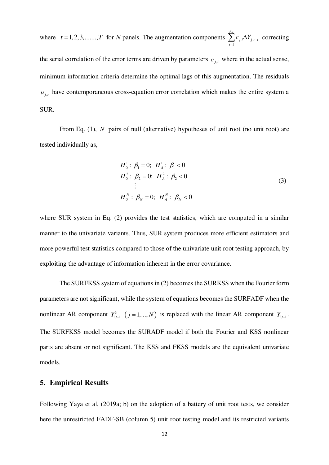where  $t = 1, 2, 3, \dots, T$  for *N* panels. The augmentation components  $\sum c_{j,i} \Delta Y_{j,t-i}$  correcting the serial correlation of the error terms are driven by parameters  $c_{j,i}$  where in the actual sense, minimum information criteria determine the optimal lags of this augmentation. The residuals  $u_{j,t}$  have contemporaneous cross-equation error correlation which makes the entire system a SUR. 1 *m p*  $j, i \rightarrow I$   $j, t-i$ *i*  $c_{j,i} \Delta Y_{j,t-1}$  $\sum_{i=1}^n c_{j,i} \Delta$ 

From Eq. (1), *N* pairs of null (alternative) hypotheses of unit root (no unit root) are tested individually as,

$$
H_0^1: \beta_1 = 0; H_A^1: \beta_1 < 0
$$
  
\n
$$
H_0^2: \beta_2 = 0; H_A^2: \beta_2 < 0
$$
  
\n
$$
\vdots
$$
  
\n
$$
H_0^N: \beta_N = 0; H_A^N: \beta_N < 0
$$
\n(3)

where SUR system in Eq. (2) provides the test statistics, which are computed in a similar manner to the univariate variants. Thus, SUR system produces more efficient estimators and more powerful test statistics compared to those of the univariate unit root testing approach, by exploiting the advantage of information inherent in the error covariance.

The SURFKSS system of equations in (2) becomes the SURKSS when the Fourier form parameters are not significant, while the system of equations becomes the SURFADF when the nonlinear AR component  $Y^3_{i,t-1}$  ( $j = 1,..., N$ ) is replaced with the linear AR component  $Y_{i,t-1}$ . The SURFKSS model becomes the SURADF model if both the Fourier and KSS nonlinear parts are absent or not significant. The KSS and FKSS models are the equivalent univariate models.

# **5. Empirical Results**

Following Yaya et al. (2019a; b) on the adoption of a battery of unit root tests, we consider here the unrestricted FADF-SB (column 5) unit root testing model and its restricted variants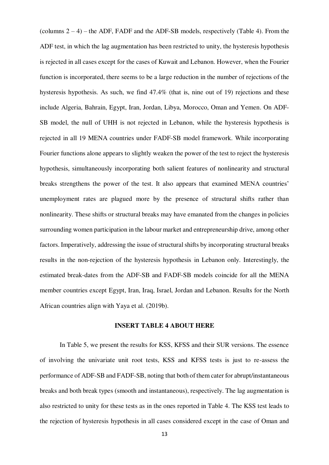(columns 2 – 4) – the ADF, FADF and the ADF-SB models, respectively (Table 4). From the ADF test, in which the lag augmentation has been restricted to unity, the hysteresis hypothesis is rejected in all cases except for the cases of Kuwait and Lebanon. However, when the Fourier function is incorporated, there seems to be a large reduction in the number of rejections of the hysteresis hypothesis. As such, we find 47.4% (that is, nine out of 19) rejections and these include Algeria, Bahrain, Egypt, Iran, Jordan, Libya, Morocco, Oman and Yemen. On ADF-SB model, the null of UHH is not rejected in Lebanon, while the hysteresis hypothesis is rejected in all 19 MENA countries under FADF-SB model framework. While incorporating Fourier functions alone appears to slightly weaken the power of the test to reject the hysteresis hypothesis, simultaneously incorporating both salient features of nonlinearity and structural breaks strengthens the power of the test. It also appears that examined MENA countries' unemployment rates are plagued more by the presence of structural shifts rather than nonlinearity. These shifts or structural breaks may have emanated from the changes in policies surrounding women participation in the labour market and entrepreneurship drive, among other factors. Imperatively, addressing the issue of structural shifts by incorporating structural breaks results in the non-rejection of the hysteresis hypothesis in Lebanon only. Interestingly, the estimated break-dates from the ADF-SB and FADF-SB models coincide for all the MENA member countries except Egypt, Iran, Iraq, Israel, Jordan and Lebanon. Results for the North African countries align with Yaya et al. (2019b).

#### **INSERT TABLE 4 ABOUT HERE**

In Table 5, we present the results for KSS, KFSS and their SUR versions. The essence of involving the univariate unit root tests, KSS and KFSS tests is just to re-assess the performance of ADF-SB and FADF-SB, noting that both of them cater for abrupt/instantaneous breaks and both break types (smooth and instantaneous), respectively. The lag augmentation is also restricted to unity for these tests as in the ones reported in Table 4. The KSS test leads to the rejection of hysteresis hypothesis in all cases considered except in the case of Oman and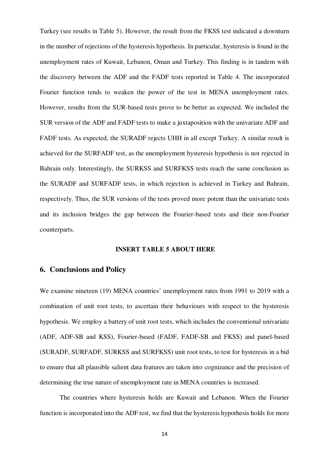Turkey (see results in Table 5). However, the result from the FKSS test indicated a downturn in the number of rejections of the hysteresis hypothesis. In particular, hysteresis is found in the unemployment rates of Kuwait, Lebanon, Oman and Turkey. This finding is in tandem with the discovery between the ADF and the FADF tests reported in Table 4. The incorporated Fourier function tends to weaken the power of the test in MENA unemployment rates. However, results from the SUR-based tests prove to be better as expected. We included the SUR version of the ADF and FADF tests to make a juxtaposition with the univariate ADF and FADF tests. As expected, the SURADF rejects UHH in all except Turkey. A similar result is achieved for the SURFADF test, as the unemployment hysteresis hypothesis is not rejected in Bahrain only. Interestingly, the SURKSS and SURFKSS tests reach the same conclusion as the SURADF and SURFADF tests, in which rejection is achieved in Turkey and Bahrain, respectively. Thus, the SUR versions of the tests proved more potent than the univariate tests and its inclusion bridges the gap between the Fourier-based tests and their non-Fourier counterparts.

#### **INSERT TABLE 5 ABOUT HERE**

# **6. Conclusions and Policy**

We examine nineteen (19) MENA countries' unemployment rates from 1991 to 2019 with a combination of unit root tests, to ascertain their behaviours with respect to the hysteresis hypothesis. We employ a battery of unit root tests, which includes the conventional univariate (ADF, ADF-SB and KSS), Fourier-based (FADF, FADF-SB and FKSS) and panel-based (SURADF, SURFADF, SURKSS and SURFKSS) unit root tests, to test for hysteresis in a bid to ensure that all plausible salient data features are taken into cognizance and the precision of determining the true nature of unemployment rate in MENA countries is increased.

The countries where hysteresis holds are Kuwait and Lebanon. When the Fourier function is incorporated into the ADF test, we find that the hysteresis hypothesis holds for more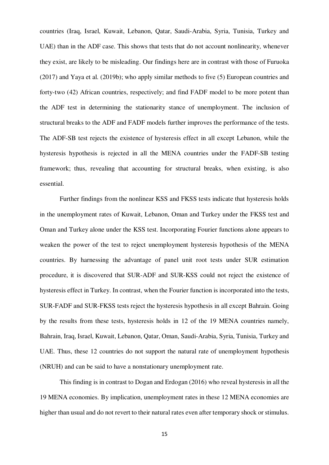countries (Iraq, Israel, Kuwait, Lebanon, Qatar, Saudi-Arabia, Syria, Tunisia, Turkey and UAE) than in the ADF case. This shows that tests that do not account nonlinearity, whenever they exist, are likely to be misleading. Our findings here are in contrast with those of Furuoka (2017) and Yaya et al. (2019b); who apply similar methods to five (5) European countries and forty-two (42) African countries, respectively; and find FADF model to be more potent than the ADF test in determining the stationarity stance of unemployment. The inclusion of structural breaks to the ADF and FADF models further improves the performance of the tests. The ADF-SB test rejects the existence of hysteresis effect in all except Lebanon, while the hysteresis hypothesis is rejected in all the MENA countries under the FADF-SB testing framework; thus, revealing that accounting for structural breaks, when existing, is also essential.

Further findings from the nonlinear KSS and FKSS tests indicate that hysteresis holds in the unemployment rates of Kuwait, Lebanon, Oman and Turkey under the FKSS test and Oman and Turkey alone under the KSS test. Incorporating Fourier functions alone appears to weaken the power of the test to reject unemployment hysteresis hypothesis of the MENA countries. By harnessing the advantage of panel unit root tests under SUR estimation procedure, it is discovered that SUR-ADF and SUR-KSS could not reject the existence of hysteresis effect in Turkey. In contrast, when the Fourier function is incorporated into the tests, SUR-FADF and SUR-FKSS tests reject the hysteresis hypothesis in all except Bahrain. Going by the results from these tests, hysteresis holds in 12 of the 19 MENA countries namely, Bahrain, Iraq, Israel, Kuwait, Lebanon, Qatar, Oman, Saudi-Arabia, Syria, Tunisia, Turkey and UAE. Thus, these 12 countries do not support the natural rate of unemployment hypothesis (NRUH) and can be said to have a nonstationary unemployment rate.

This finding is in contrast to Dogan and Erdogan (2016) who reveal hysteresis in all the 19 MENA economies. By implication, unemployment rates in these 12 MENA economies are higher than usual and do not revert to their natural rates even after temporary shock or stimulus.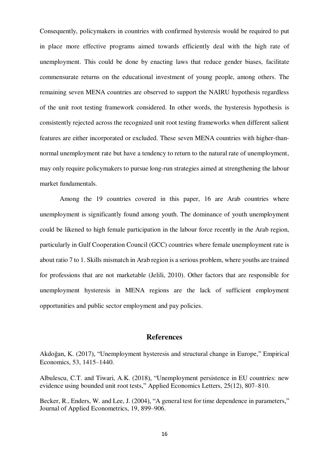Consequently, policymakers in countries with confirmed hysteresis would be required to put in place more effective programs aimed towards efficiently deal with the high rate of unemployment. This could be done by enacting laws that reduce gender biases, facilitate commensurate returns on the educational investment of young people, among others. The remaining seven MENA countries are observed to support the NAIRU hypothesis regardless of the unit root testing framework considered. In other words, the hysteresis hypothesis is consistently rejected across the recognized unit root testing frameworks when different salient features are either incorporated or excluded. These seven MENA countries with higher-thannormal unemployment rate but have a tendency to return to the natural rate of unemployment, may only require policymakers to pursue long-run strategies aimed at strengthening the labour market fundamentals.

Among the 19 countries covered in this paper, 16 are Arab countries where unemployment is significantly found among youth. The dominance of youth unemployment could be likened to high female participation in the labour force recently in the Arab region, particularly in Gulf Cooperation Council (GCC) countries where female unemployment rate is about ratio 7 to 1. Skills mismatch in Arab region is a serious problem, where youths are trained for professions that are not marketable (Jelili, 2010). Other factors that are responsible for unemployment hysteresis in MENA regions are the lack of sufficient employment opportunities and public sector employment and pay policies.

# **References**

Akdoğan, K. (2017), "Unemployment hysteresis and structural change in Europe," Empirical Economics, 53, 1415–1440.

Albulescu, C.T. and Tiwari, A.K. (2018), "Unemployment persistence in EU countries: new evidence using bounded unit root tests," Applied Economics Letters, 25(12), 807–810.

Becker, R., Enders, W. and Lee, J. (2004), "A general test for time dependence in parameters," Journal of Applied Econometrics, 19, 899–906.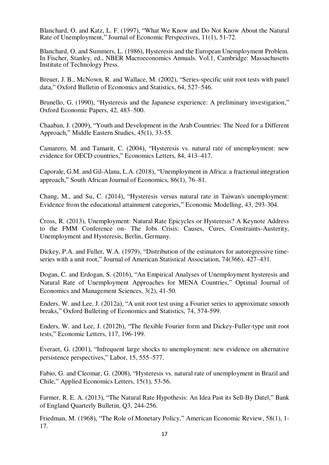Blanchard, O. and Katz, L. F. (1997), "What We Know and Do Not Know About the Natural Rate of Unemployment," Journal of Economic Perspectives, 11(1), 51-72.

Blanchard, O. and Summers, L. (1986), Hysteresis and the European Unemployment Problem. In Fischer, Stanley, ed., NBER Macroeconomics Annuals. Vol.1, Cambridge: Massachusetts Institute of Technology Press.

Breuer, J. B., McNown, R. and Wallace, M. (2002), "Series-specific unit root tests with panel data," Oxford Bulletin of Economics and Statistics, 64, 527–546.

Brunello, G. (1990), "Hysteresis and the Japanese experience: A preliminary investigation," Oxford Economic Papers, 42, 483–500.

Chaaban, J. (2009), "Youth and Development in the Arab Countries: The Need for a Different Approach," Middle Eastern Studies, 45(1), 33-55.

Camarero, M. and Tamarit, C. (2004), "Hysteresis vs. natural rate of unemployment: new evidence for OECD countries," Economics Letters, 84, 413–417.

Caporale, G.M. and Gil-Alana, L.A. (2018), "Unemployment in Africa: a fractional integration approach," South African Journal of Economics, 86(1), 76–81.

Chang, M., and Su, C. (2014), "Hysteresis versus natural rate in Taiwan's unemployment: Evidence from the educational attainment categories," Economic Modelling, 43, 293-304.

Cross, R. (2013), Unemployment: Natural Rate Epicycles or Hysteresis? A Keynote Address to the FMM Conference on- The Jobs Crisis: Causes, Cures, Constraints-Austerity, Unemployment and Hysteresis, Berlin, Germany.

Dickey, P.A. and Fuller, W.A. (1979), "Distribution of the estimators for autoregressive timeseries with a unit root," Journal of American Statistical Association, 74(366), 427–431.

Dogan, C. and Erdogan, S. (2016), "An Empirical Analyses of Unemployment hysteresis and Natural Rate of Unemployment Approaches for MENA Countries," Optimal Journal of Economics and Management Sciences, 3(2), 41-50.

Enders, W. and Lee, J. (2012a), "A unit root test using a Fourier series to approximate smooth breaks," Oxford Bulleting of Economics and Statistics, 74, 574-599.

Enders, W. and Lee, J. (2012b), "The flexible Fourier form and Dickey-Fuller-type unit root tests," Economic Letters, 117, 196-199.

Everaet, G. (2001), "Infrequent large shocks to unemployment: new evidence on alternative persistence perspectives," Labor, 15, 555–577.

Fabio, G. and Cleomar, G. (2008), "Hysteresis vs. natural rate of unemployment in Brazil and Chile," Applied Economics Letters, 15(1), 53-56.

Farmer, R. E. A. (2013), "The Natural Rate Hypothesis: An Idea Past its Sell-By Datel," Bank of England Quarterly Bulletin, Q3, 244-256.

Friedman, M. (1968), "The Role of Monetary Policy," American Economic Review, 58(1), 1- 17.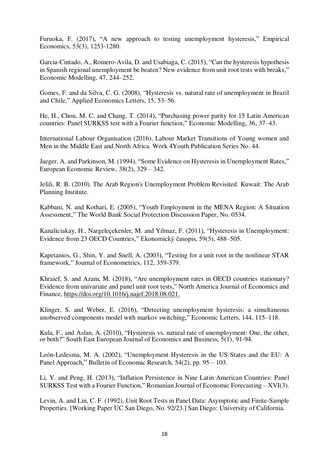Furuoka, F. (2017), "A new approach to testing unemployment hysteresis," Empirical Economics, 53(3), 1253-1280.

Garcia-Cintado, A., Romero-Avila, D. and Usabiaga, C. (2015), "Can the hysteresis hypothesis in Spanish regional unemployment be beaten? New evidence from unit root tests with breaks," Economic Modelling, 47, 244–252.

Gomes, F. and da Silva, C. G. (2008), "Hysteresis vs. natural rate of unemployment in Brazil and Chile," Applied Economics Letters, 15, 53–56.

He, H., Chou, M. C. and Chang, T. (2014), "Purchasing power parity for 15 Latin American countries: Panel SURKSS test with a Fourier function," Economic Modelling, 36, 37–43.

International Labour Organisation (2016), Labour Market Transitions of Young women and Men in the Middle East and North Africa. Work 4Youth Publication Series No. 44.

Jaeger, A. and Parkinson, M. (1994), "Some Evidence on Hysteresis in Unemployment Rates," European Economic Review, 38(2), 329 – 342.

Jelili, R. B. (2010). The Arab Region's Unemployment Problem Revisited. Kuwait: The Arab Planning Institute.

Kabbani, N. and Kothari, E. (2005), "Youth Employment in the MENA Region: A Situation Assessment," The World Bank Social Protection Discussion Paper, No. 0534.

Kanaliciakay, H., Nargeleçekenler, M. and Yilmaz, F. (2011), "Hysteresis in Unemployment: Evidence from 23 OECD Countries," Ekonomický časopis, 59(5), 488–505.

Kapetanios, G., Shin, Y. and Snell, A. (2003), "Testing for a unit root in the nonlinear STAR framework," Journal of Econometrics, 112, 359-379.

Khraief, S. and Azam, M. (2018), "Are unemployment rates in OECD countries stationary? Evidence from univariate and panel unit root tests," North America Journal of Economics and Finance, [https://doi.org/10.1016/j.najef.](about:blank)2018.08.021.

Klinger, S. and Weber, E. (2016), "Detecting unemployment hysteresis: a simultaneous unobserved components model with markov switching," Economic Letters, 144, 115–118.

Kula, F., and Aslan, A. (2010), "Hysteresis vs. natural rate of unemployment: One, the other, or both?" South East European Journal of Economics and Business, 5(1), 91-94.

León-Ledesma, M. A. (2002), "Unemployment Hysteresis in the US States and the EU: A Panel Approach," Bulletin of Economic Research, 54(2), pp. 95 – 103.

Li, Y. and Peng, H. (2013), "Inflation Persistence in Nine Latin American Countries: Panel SURKSS Test with a Fourier Function," Romanian Journal of Economic Forecasting – XVI(3).

Levin, A. and Lin, C. F. (1992), Unit Root Tests in Panel Data: Asymptotic and Finite-Sample Properties. [Working Paper UC San Diego, No. 92/23.] San Diego: University of California.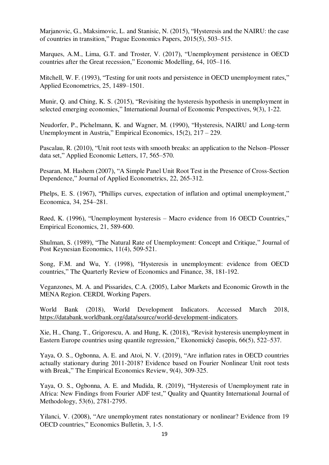Marjanovic, G., Maksimovic, L. and Stanisic, N. (2015), "Hysteresis and the NAIRU: the case of countries in transition," Prague Economics Papers, 2015(5), 503–515.

Marques, A.M., Lima, G.T. and Troster, V. (2017), "Unemployment persistence in OECD countries after the Great recession," Economic Modelling, 64, 105–116.

Mitchell, W. F. (1993), "Testing for unit roots and persistence in OECD unemployment rates," Applied Econometrics, 25, 1489-1501.

Munir, Q. and Ching, K. S. (2015), "Revisiting the hysteresis hypothesis in unemployment in selected emerging economies," International Journal of Economic Perspectives, 9(3), 1-22.

Neudorfer, P., Pichelmann, K. and Wagner, M. (1990), "Hysteresis, NAIRU and Long-term Unemployment in Austria," Empirical Economics, 15(2), 217 – 229.

Pascalau, R. (2010), "Unit root tests with smooth breaks: an application to the Nelson–Plosser data set," Applied Economic Letters, 17, 565–570.

Pesaran, M. Hashem (2007), "A Simple Panel Unit Root Test in the Presence of Cross-Section Dependence," Journal of Applied Econometrics, 22, 265-312.

Phelps, E. S. (1967), "Phillips curves, expectation of inflation and optimal unemployment," Economica, 34, 254–281.

Røed, K. (1996), "Unemployment hysteresis – Macro evidence from 16 OECD Countries," Empirical Economics, 21, 589-600.

Shulman, S. (1989), "The Natural Rate of Unemployment: Concept and Critique," Journal of Post Keynesian Economics, 11(4), 509-521.

Song, F.M. and Wu, Y. (1998), "Hysteresis in unemployment: evidence from OECD countries," The Quarterly Review of Economics and Finance, 38, 181-192.

Veganzones, M. A. and Pissarides, C.A. (2005), Labor Markets and Economic Growth in the MENA Region. CERDI, Working Papers.

World Bank (2018), World Development Indicators. Accessed March 2018, [https://databank.worldbank.org/data/source/w](about:blank)orld-development-indicators.

Xie, H., Chang, T., Grigorescu, A. and Hung, K. (2018), "Revisit hysteresis unemployment in Eastern Europe countries using quantile regression," Ekonomický časopis, 66(5), 522–537.

Yaya, O. S., Ogbonna, A. E. and Atoi, N. V. (2019), "Are inflation rates in OECD countries actually stationary during 2011-2018? Evidence based on Fourier Nonlinear Unit root tests with Break," The Empirical Economics Review, 9(4), 309-325.

Yaya, O. S., Ogbonna, A. E. and Mudida, R. (2019), "Hysteresis of Unemployment rate in Africa: New Findings from Fourier ADF test," Quality and Quantity International Journal of Methodology, 53(6), 2781-2795.

Yilanci, V. (2008), "Are unemployment rates nonstationary or nonlinear? Evidence from 19 OECD countries," Economics Bulletin, 3, 1-5.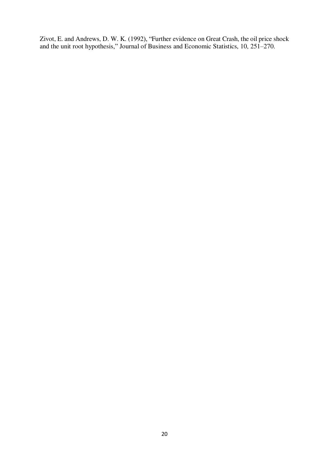Zivot, E. and Andrews, D. W. K. (1992), "Further evidence on Great Crash, the oil price shock and the unit root hypothesis," Journal of Business and Economic Statistics, 10, 251–270.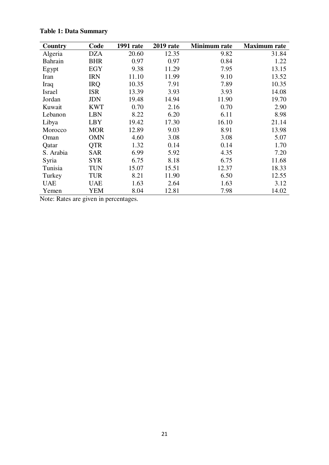| Country        | Code       | <b>1991</b> rate | <b>2019</b> rate | Minimum rate | <b>Maximum</b> rate |
|----------------|------------|------------------|------------------|--------------|---------------------|
| Algeria        | <b>DZA</b> | 20.60            | 12.35            | 9.82         | 31.84               |
| <b>Bahrain</b> | <b>BHR</b> | 0.97             | 0.97             | 0.84         | 1.22                |
| Egypt          | EGY        | 9.38             | 11.29            | 7.95         | 13.15               |
| Iran           | <b>IRN</b> | 11.10            | 11.99            | 9.10         | 13.52               |
| Iraq           | <b>IRQ</b> | 10.35            | 7.91             | 7.89         | 10.35               |
| Israel         | <b>ISR</b> | 13.39            | 3.93             | 3.93         | 14.08               |
| Jordan         | <b>JDN</b> | 19.48            | 14.94            | 11.90        | 19.70               |
| Kuwait         | <b>KWT</b> | 0.70             | 2.16             | 0.70         | 2.90                |
| Lebanon        | <b>LBN</b> | 8.22             | 6.20             | 6.11         | 8.98                |
| Libya          | <b>LBY</b> | 19.42            | 17.30            | 16.10        | 21.14               |
| Morocco        | <b>MOR</b> | 12.89            | 9.03             | 8.91         | 13.98               |
| Oman           | <b>OMN</b> | 4.60             | 3.08             | 3.08         | 5.07                |
| Qatar          | <b>QTR</b> | 1.32             | 0.14             | 0.14         | 1.70                |
| S. Arabia      | <b>SAR</b> | 6.99             | 5.92             | 4.35         | 7.20                |
| Syria          | <b>SYR</b> | 6.75             | 8.18             | 6.75         | 11.68               |
| Tunisia        | <b>TUN</b> | 15.07            | 15.51            | 12.37        | 18.33               |
| Turkey         | <b>TUR</b> | 8.21             | 11.90            | 6.50         | 12.55               |
| <b>UAE</b>     | <b>UAE</b> | 1.63             | 2.64             | 1.63         | 3.12                |
| Yemen          | YEM        | 8.04             | 12.81            | 7.98         | 14.02               |

**Table 1: Data Summary** 

Note: Rates are given in percentages.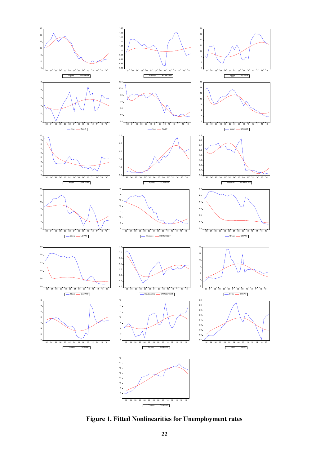

**Figure 1. Fitted Nonlinearities for Unemployment rates**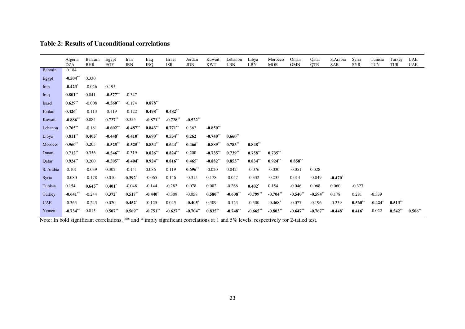| <b>Table 2: Results of Unconditional correlations</b> |  |
|-------------------------------------------------------|--|
|-------------------------------------------------------|--|

|            | Algeria<br><b>DZA</b> | Bahrain<br><b>BHR</b> | Egypt<br>EGY          | Iran<br><b>IRN</b>    | Iraq<br><b>IRO</b> | Israel<br><b>ISR</b> | Jordan<br><b>JDN</b> | Kuwait<br><b>KWT</b> | Lebanon<br><b>LBN</b> | Libya<br>LBY           | Morocco<br><b>MOR</b> | Oman<br><b>OMN</b> | Qatar<br><b>QTR</b> | S. Arabia<br><b>SAR</b> | Syria<br><b>SYR</b> | Tunisia<br>TUN        | Turkey<br>TUR | <b>UAE</b><br><b>UAE</b> |
|------------|-----------------------|-----------------------|-----------------------|-----------------------|--------------------|----------------------|----------------------|----------------------|-----------------------|------------------------|-----------------------|--------------------|---------------------|-------------------------|---------------------|-----------------------|---------------|--------------------------|
| Bahrain    | 0.184                 |                       |                       |                       |                    |                      |                      |                      |                       |                        |                       |                    |                     |                         |                     |                       |               |                          |
| Egypt      | $-0.504**$            | 0.330                 |                       |                       |                    |                      |                      |                      |                       |                        |                       |                    |                     |                         |                     |                       |               |                          |
| Iran       | $-0.423$ <sup>*</sup> | $-0.026$              | 0.195                 |                       |                    |                      |                      |                      |                       |                        |                       |                    |                     |                         |                     |                       |               |                          |
| Iraq       | $0.801**$             | 0.041                 | $-0.577**$            | $-0.347$              |                    |                      |                      |                      |                       |                        |                       |                    |                     |                         |                     |                       |               |                          |
| Israel     | $0.629**$             | $-0.008$              | $-0.560**$            | $-0.174$              | $0.878***$         |                      |                      |                      |                       |                        |                       |                    |                     |                         |                     |                       |               |                          |
| Jordan     | $0.426*$              | $-0.113$              | $-0.119$              | $-0.122$              | $0.498**$          | $0.482**$            |                      |                      |                       |                        |                       |                    |                     |                         |                     |                       |               |                          |
| Kuwait     | $-0.886**$            | 0.084                 | $0.727**$             | 0.355                 | $-0.871**$         | $-0.728**$           | $-0.522**$           |                      |                       |                        |                       |                    |                     |                         |                     |                       |               |                          |
| Lebanon    | $0.765***$            | $-0.181$              | $-0.602**$            | $-0.487**$            | $0.843***$         | $0.771***$           | 0.362                | $-0.850**$           |                       |                        |                       |                    |                     |                         |                     |                       |               |                          |
| Libya      | $0.811***$            | $0.405*$              | $-0.448$ <sup>*</sup> | $-0.410*$             | $0.690**$          | $0.534**$            | 0.262                | $-0.740**$           | $0.660**$             |                        |                       |                    |                     |                         |                     |                       |               |                          |
| Morocco    | $0.960**$             | 0.205                 | $-0.525**$            | $-0.525***$           | $0.834**$          | $0.644**$            | $0.466*$             | $-0.889**$           | $0.783**$             | $0.848**$              |                       |                    |                     |                         |                     |                       |               |                          |
| Oman       | $0.712**$             | 0.356                 | $-0.546**$            | $-0.319$              | $0.826**$          | $0.824**$            | 0.200                | $-0.735**$           | $0.739**$             | $0.758**$              | $0.735***$            |                    |                     |                         |                     |                       |               |                          |
| Qatar      | $0.924**$             | 0.200                 | $-0.505**$            | $-0.404$ <sup>*</sup> | $0.924**$          | $0.816**$            | $0.465^*$            | $-0.882**$           | $0.853**$             | $0.834**$              | $0.924**$             | $0.858**$          |                     |                         |                     |                       |               |                          |
| S. Arabia  | $-0.101$              | $-0.039$              | 0.302                 | $-0.141$              | 0.086              | 0.119                | $0.696**$            | $-0.020$             | 0.042                 | $-0.076$               | $-0.030$              | $-0.051$           | 0.028               |                         |                     |                       |               |                          |
| Syria      | $-0.080$              | $-0.178$              | 0.010                 | $0.392*$              | $-0.065$           | 0.146                | $-0.315$             | 0.178                | $-0.057$              | $-0.332$               | $-0.235$              | 0.014              | $-0.049$            | $-0.470*$               |                     |                       |               |                          |
| Tunisia    | 0.154                 | $0.645***$            | $0.401^*$             | $-0.048$              | $-0.144$           | $-0.282$             | 0.078                | 0.082                | $-0.266$              | $0.402*$               | 0.154                 | $-0.046$           | 0.068               | 0.060                   | $-0.327$            |                       |               |                          |
| Turkey     | $-0.641**$            | $-0.244$              | $0.372^{*}$           | $0.517**$             | $-0.440*$          | $-0.309$             | $-0.058$             | $0.580**$            | $-0.608**$            | $-0.799$ <sup>**</sup> | $-0.704**$            | $-0.540**$         | $-0.594**$          | 0.178                   | 0.281               | $-0.339$              |               |                          |
| <b>UAE</b> | $-0.363$              | $-0.243$              | 0.020                 | $0.452*$              | $-0.125$           | 0.045                | $-0.405$             | 0.309                | $-0.123$              | $-0.300$               | $-0.468$ <sup>*</sup> | $-0.077$           | $-0.196$            | $-0.239$                | $0.560**$           | $-0.424$ <sup>*</sup> | $0.513**$     |                          |
| Yemen      | $-0.734**$            | 0.015                 | $0.507**$             | $0.569**$             | $-0.751**$         | $-0.627**$           | $-0.704**$           | $0.835***$           | $-0.748**$            | $-0.665**$             | $-0.803**$            | $-0.647**$         | $-0.767$ **         | $-0.448$ <sup>*</sup>   | $0.416*$            | $-0.022$              | $0.542**$     | $0.506**$                |

Note: In bold significant correlations. \*\* and \* imply significant correlations at 1 and 5% levels, respectively for 2-tailed test.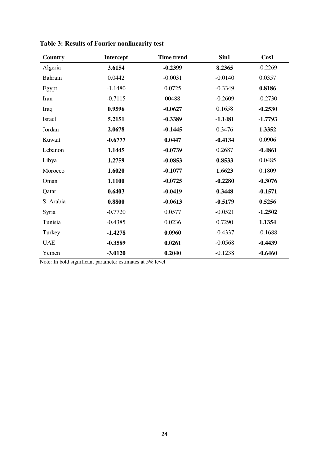| Country    | Intercept | <b>Time trend</b> | Sin1      | Cos1      |
|------------|-----------|-------------------|-----------|-----------|
| Algeria    | 3.6154    | $-0.2399$         | 8.2365    | $-0.2269$ |
| Bahrain    | 0.0442    | $-0.0031$         | $-0.0140$ | 0.0357    |
| Egypt      | $-1.1480$ | 0.0725            | $-0.3349$ | 0.8186    |
| Iran       | $-0.7115$ | 00488             | $-0.2609$ | $-0.2730$ |
| Iraq       | 0.9596    | $-0.0627$         | 0.1658    | $-0.2530$ |
| Israel     | 5.2151    | $-0.3389$         | $-1.1481$ | $-1.7793$ |
| Jordan     | 2.0678    | $-0.1445$         | 0.3476    | 1.3352    |
| Kuwait     | $-0.6777$ | 0.0447            | $-0.4134$ | 0.0906    |
| Lebanon    | 1.1445    | $-0.0739$         | 0.2687    | $-0.4861$ |
| Libya      | 1.2759    | $-0.0853$         | 0.8533    | 0.0485    |
| Morocco    | 1.6020    | $-0.1077$         | 1.6623    | 0.1809    |
| Oman       | 1.1100    | $-0.0725$         | $-0.2280$ | $-0.3076$ |
| Qatar      | 0.6403    | $-0.0419$         | 0.3448    | $-0.1571$ |
| S. Arabia  | 0.8800    | $-0.0613$         | $-0.5179$ | 0.5256    |
| Syria      | $-0.7720$ | 0.0577            | $-0.0521$ | $-1.2502$ |
| Tunisia    | $-0.4385$ | 0.0236            | 0.7290    | 1.1354    |
| Turkey     | $-1.4278$ | 0.0960            | $-0.4337$ | $-0.1688$ |
| <b>UAE</b> | $-0.3589$ | 0.0261            | $-0.0568$ | $-0.4439$ |
| Yemen      | $-3.0120$ | 0.2040            | $-0.1238$ | $-0.6460$ |

**Table 3: Results of Fourier nonlinearity test** 

Note: In bold significant parameter estimates at 5% level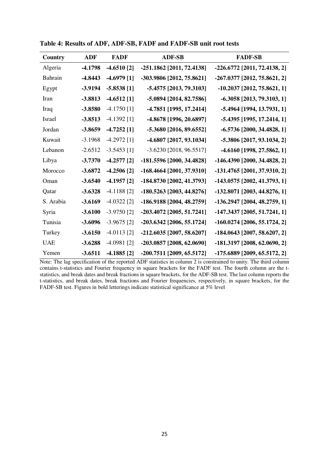| Country    | <b>ADF</b> | <b>FADF</b>   | <b>ADF-SB</b>               | <b>FADF-SB</b>                 |
|------------|------------|---------------|-----------------------------|--------------------------------|
| Algeria    | $-4.1798$  | $-4.6510$ [2] | -251.1862 [2011, 72.4138]   | -226.6772 [2011, 72.4138, 2]   |
| Bahrain    | $-4.8443$  | $-4.6979$ [1] | -303.9806 [2012, 75.8621]   | -267.0377 [2012, 75.8621, 2]   |
| Egypt      | $-3.9194$  | $-5.8538[1]$  | -5.4575 [2013, 79.3103]     | $-10.2037$ [2012, 75.8621, 1]  |
| Iran       | -3.8813    | $-4.6512$ [1] | -5.0894 [2014, 82.7586]     | $-6.3058$ [2013, 79.3103, 1]   |
| Iraq       | $-3.8580$  | $-4.1750$ [1] | -4.7851 [1995, 17.2414]     | -5.4964 [1994, 13.7931, 1]     |
| Israel     | $-3.8513$  | $-4.1392$ [1] | -4.8678 [1996, 20.6897]     | -5.4395 [1995, 17.2414, 1]     |
| Jordan     | $-3.8659$  | $-4.7252$ [1] | -5.3680 [2016, 89.6552]     | $-6.5736$ [2000, 34.4828, 1]   |
| Kuwait     | $-3.1968$  | $-4.2972$ [1] | -4.6807 [2017, 93.1034]     | -5.3806 [2017, 93.1034, 2]     |
| Lebanon    | $-2.6512$  | $-3.5453$ [1] | $-3.6230$ [2018, 96.5517]   | -4.6160 [1998, 27.5862, 1]     |
| Libya      | $-3.7370$  | $-4.2577$ [2] | -181.5596 [2000, 34.4828]   | -146.4390 [2000, 34.4828, 2]   |
| Morocco    | $-3.6872$  | $-4.2506$ [2] | $-168.4664$ [2001, 37.9310] | -131.4765 [2001, 37.9310, 2]   |
| Oman       | $-3.6540$  | $-4.1957$ [2] | -184.8730 [2002, 41.3793]   | -143.0575 [2002, 41.3793, 1]   |
| Qatar      | $-3.6328$  | $-4.1188$ [2] | -180.5263 [2003, 44.8276]   | $-132.8071$ [2003, 44.8276, 1] |
| S. Arabia  | $-3.6169$  | $-4.0322$ [2] | -186.9188 [2004, 48.2759]   | -136.2947 [2004, 48.2759, 1]   |
| Syria      | $-3.6100$  | $-3.9750$ [2] | -203.4072 [2005, 51.7241]   | $-147.3437$ [2005, 51.7241, 1] |
| Tunisia    | $-3.6096$  | $-3.9675$ [2] | -203.6342 [2006, 55.1724]   | $-160.0274$ [2006, 55.1724, 2] |
| Turkey     | $-3.6150$  | $-4.0113$ [2] | $-212,6035$ [2007, 58.6207] | $-184.0643$ [2007, 58.6207, 2] |
| <b>UAE</b> | $-3.6288$  | $-4.0981$ [2] | -203.0857 [2008, 62.0690]   | -181.3197 [2008, 62.0690, 2]   |
| Yemen      | $-3.6511$  | $-4.1885$ [2] | -200.7511 [2009, 65.5172]   | -175.6889 [2009, 65.5172, 2]   |

**Table 4: Results of ADF, ADF-SB, FADF and FADF-SB unit root tests** 

Note: The lag specification of the reported ADF statistics in column 2 is constrained to unity. The third column contains t-statistics and Fourier frequency in square brackets for the FADF test. The fourth column are the tstatistics, and break dates and break fractions in square brackets, for the ADF-SB test. The last column reports the t-statistics, and break dates, break fractions and Fourier frequencies, respectively, in square brackets, for the FADF-SB test. Figures in bold letterings indicate statistical significance at 5% level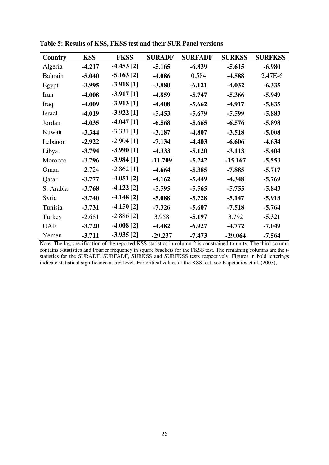| Country    | <b>KSS</b> | <b>FKSS</b>  | <b>SURADF</b> | <b>SURFADF</b> | <b>SURKSS</b> | <b>SURFKSS</b> |
|------------|------------|--------------|---------------|----------------|---------------|----------------|
| Algeria    | $-4.217$   | $-4.453$ [2] | $-5.165$      | $-6.839$       | $-5.615$      | $-6.980$       |
| Bahrain    | $-5.040$   | $-5.163$ [2] | $-4.086$      | 0.584          | $-4.588$      | 2.47E-6        |
| Egypt      | $-3.995$   | $-3.918[1]$  | $-3.880$      | $-6.121$       | $-4.032$      | $-6.335$       |
| Iran       | $-4.008$   | $-3.917[1]$  | -4.859        | $-5.747$       | $-5.366$      | $-5.949$       |
| Iraq       | $-4.009$   | $-3.913$ [1] | $-4.408$      | $-5.662$       | $-4.917$      | $-5.835$       |
| Israel     | $-4.019$   | $-3.922$ [1] | $-5.453$      | $-5.679$       | $-5.599$      | $-5.883$       |
| Jordan     | $-4.035$   | $-4.047$ [1] | $-6.568$      | $-5.665$       | $-6.576$      | $-5.898$       |
| Kuwait     | $-3.344$   | $-3.331$ [1] | $-3.187$      | $-4.807$       | $-3.518$      | $-5.008$       |
| Lebanon    | $-2.922$   | $-2.904$ [1] | $-7.134$      | $-4.403$       | $-6.606$      | $-4.634$       |
| Libya      | $-3.794$   | $-3.990[1]$  | $-4.333$      | $-5.120$       | $-3.113$      | $-5.404$       |
| Morocco    | $-3.796$   | $-3.984[1]$  | $-11.709$     | $-5.242$       | $-15.167$     | $-5.553$       |
| Oman       | $-2.724$   | $-2.862$ [1] | $-4.664$      | $-5.385$       | $-7.885$      | $-5.717$       |
| Qatar      | $-3.777$   | $-4.051$ [2] | $-4.162$      | $-5.449$       | $-4.348$      | $-5.769$       |
| S. Arabia  | $-3.768$   | $-4.122$ [2] | $-5.595$      | $-5.565$       | $-5.755$      | $-5.843$       |
| Syria      | $-3.740$   | $-4.148$ [2] | $-5.088$      | $-5.728$       | $-5.147$      | $-5.913$       |
| Tunisia    | $-3.731$   | $-4.150$ [2] | $-7.326$      | $-5.607$       | $-7.518$      | $-5.764$       |
| Turkey     | $-2.681$   | $-2.886$ [2] | 3.958         | $-5.197$       | 3.792         | $-5.321$       |
| <b>UAE</b> | $-3.720$   | $-4.008[2]$  | $-4.482$      | $-6.927$       | $-4.772$      | $-7.049$       |
| Yemen      | $-3.711$   | $-3.935[2]$  | $-29.237$     | $-7.473$       | $-29.064$     | $-7.564$       |

**Table 5: Results of KSS, FKSS test and their SUR Panel versions** 

Note: The lag specification of the reported KSS statistics in column 2 is constrained to unity. The third column contains t-statistics and Fourier frequency in square brackets for the FKSS test. The remaining columns are the tstatistics for the SURADF, SURFADF, SURKSS and SURFKSS tests respectively. Figures in bold letterings indicate statistical significance at 5% level. For critical values of the KSS test, see Kapetanios et al. (2003),